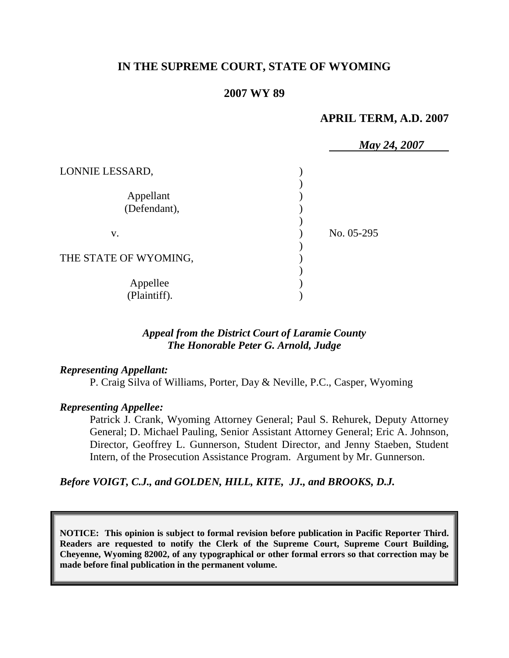# **IN THE SUPREME COURT, STATE OF WYOMING**

# **2007 WY 89**

# **APRIL TERM, A.D. 2007**

|                           | May 24, 2007 |  |
|---------------------------|--------------|--|
| LONNIE LESSARD,           |              |  |
| Appellant<br>(Defendant), |              |  |
| V.                        | No. 05-295   |  |
| THE STATE OF WYOMING,     |              |  |
| Appellee<br>(Plaintiff).  |              |  |

# *Appeal from the District Court of Laramie County The Honorable Peter G. Arnold, Judge*

#### *Representing Appellant:*

P. Craig Silva of Williams, Porter, Day & Neville, P.C., Casper, Wyoming

#### *Representing Appellee:*

Patrick J. Crank, Wyoming Attorney General; Paul S. Rehurek, Deputy Attorney General; D. Michael Pauling, Senior Assistant Attorney General; Eric A. Johnson, Director, Geoffrey L. Gunnerson, Student Director, and Jenny Staeben, Student Intern, of the Prosecution Assistance Program. Argument by Mr. Gunnerson.

### *Before VOIGT, C.J., and GOLDEN, HILL, KITE, JJ., and BROOKS, D.J.*

**NOTICE: This opinion is subject to formal revision before publication in Pacific Reporter Third. Readers are requested to notify the Clerk of the Supreme Court, Supreme Court Building, Cheyenne, Wyoming 82002, of any typographical or other formal errors so that correction may be made before final publication in the permanent volume.**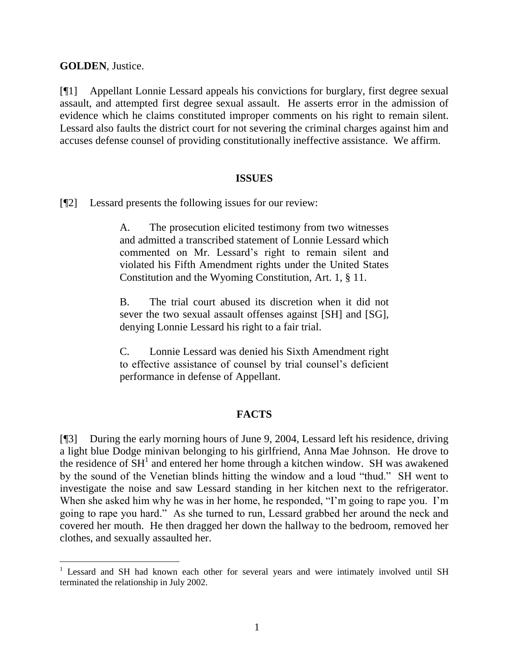**GOLDEN**, Justice.

[¶1] Appellant Lonnie Lessard appeals his convictions for burglary, first degree sexual assault, and attempted first degree sexual assault. He asserts error in the admission of evidence which he claims constituted improper comments on his right to remain silent. Lessard also faults the district court for not severing the criminal charges against him and accuses defense counsel of providing constitutionally ineffective assistance. We affirm.

#### **ISSUES**

[¶2] Lessard presents the following issues for our review:

A. The prosecution elicited testimony from two witnesses and admitted a transcribed statement of Lonnie Lessard which commented on Mr. Lessard's right to remain silent and violated his Fifth Amendment rights under the United States Constitution and the Wyoming Constitution, Art. 1, § 11.

B. The trial court abused its discretion when it did not sever the two sexual assault offenses against [SH] and [SG], denying Lonnie Lessard his right to a fair trial.

C. Lonnie Lessard was denied his Sixth Amendment right to effective assistance of counsel by trial counsel's deficient performance in defense of Appellant.

# **FACTS**

[¶3] During the early morning hours of June 9, 2004, Lessard left his residence, driving a light blue Dodge minivan belonging to his girlfriend, Anna Mae Johnson. He drove to the residence of  $\overline{SH}^1$  and entered her home through a kitchen window. SH was awakened by the sound of the Venetian blinds hitting the window and a loud "thud." SH went to investigate the noise and saw Lessard standing in her kitchen next to the refrigerator. When she asked him why he was in her home, he responded, "I'm going to rape you. I'm going to rape you hard." As she turned to run, Lessard grabbed her around the neck and covered her mouth. He then dragged her down the hallway to the bedroom, removed her clothes, and sexually assaulted her.

<sup>&</sup>lt;sup>1</sup> Lessard and SH had known each other for several years and were intimately involved until SH terminated the relationship in July 2002.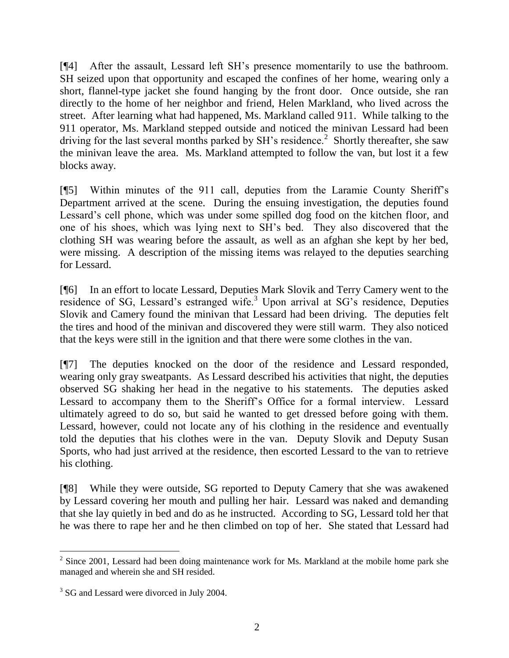[¶4] After the assault, Lessard left SH's presence momentarily to use the bathroom. SH seized upon that opportunity and escaped the confines of her home, wearing only a short, flannel-type jacket she found hanging by the front door. Once outside, she ran directly to the home of her neighbor and friend, Helen Markland, who lived across the street. After learning what had happened, Ms. Markland called 911. While talking to the 911 operator, Ms. Markland stepped outside and noticed the minivan Lessard had been driving for the last several months parked by SH's residence.<sup>2</sup> Shortly thereafter, she saw the minivan leave the area. Ms. Markland attempted to follow the van, but lost it a few blocks away.

[¶5] Within minutes of the 911 call, deputies from the Laramie County Sheriff's Department arrived at the scene. During the ensuing investigation, the deputies found Lessard's cell phone, which was under some spilled dog food on the kitchen floor, and one of his shoes, which was lying next to SH's bed. They also discovered that the clothing SH was wearing before the assault, as well as an afghan she kept by her bed, were missing. A description of the missing items was relayed to the deputies searching for Lessard.

[¶6] In an effort to locate Lessard, Deputies Mark Slovik and Terry Camery went to the residence of SG, Lessard's estranged wife.<sup>3</sup> Upon arrival at SG's residence, Deputies Slovik and Camery found the minivan that Lessard had been driving. The deputies felt the tires and hood of the minivan and discovered they were still warm. They also noticed that the keys were still in the ignition and that there were some clothes in the van.

[¶7] The deputies knocked on the door of the residence and Lessard responded, wearing only gray sweatpants. As Lessard described his activities that night, the deputies observed SG shaking her head in the negative to his statements. The deputies asked Lessard to accompany them to the Sheriff's Office for a formal interview. Lessard ultimately agreed to do so, but said he wanted to get dressed before going with them. Lessard, however, could not locate any of his clothing in the residence and eventually told the deputies that his clothes were in the van. Deputy Slovik and Deputy Susan Sports, who had just arrived at the residence, then escorted Lessard to the van to retrieve his clothing.

[¶8] While they were outside, SG reported to Deputy Camery that she was awakened by Lessard covering her mouth and pulling her hair. Lessard was naked and demanding that she lay quietly in bed and do as he instructed. According to SG, Lessard told her that he was there to rape her and he then climbed on top of her. She stated that Lessard had

 $2$  Since 2001, Lessard had been doing maintenance work for Ms. Markland at the mobile home park she managed and wherein she and SH resided.

<sup>&</sup>lt;sup>3</sup> SG and Lessard were divorced in July 2004.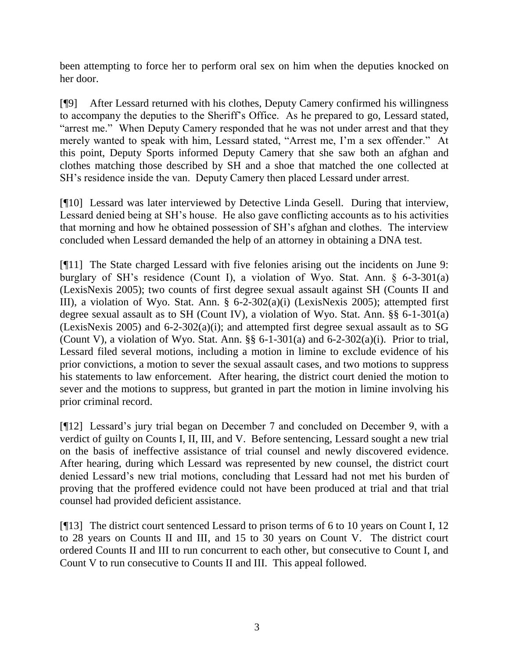been attempting to force her to perform oral sex on him when the deputies knocked on her door.

[¶9] After Lessard returned with his clothes, Deputy Camery confirmed his willingness to accompany the deputies to the Sheriff's Office. As he prepared to go, Lessard stated, "arrest me." When Deputy Camery responded that he was not under arrest and that they merely wanted to speak with him, Lessard stated, "Arrest me, I'm a sex offender." At this point, Deputy Sports informed Deputy Camery that she saw both an afghan and clothes matching those described by SH and a shoe that matched the one collected at SH's residence inside the van. Deputy Camery then placed Lessard under arrest.

[¶10] Lessard was later interviewed by Detective Linda Gesell. During that interview, Lessard denied being at SH's house. He also gave conflicting accounts as to his activities that morning and how he obtained possession of SH's afghan and clothes. The interview concluded when Lessard demanded the help of an attorney in obtaining a DNA test.

[¶11] The State charged Lessard with five felonies arising out the incidents on June 9: burglary of SH's residence (Count I), a violation of Wyo. Stat. Ann. § 6-3-301(a) (LexisNexis 2005); two counts of first degree sexual assault against SH (Counts II and III), a violation of Wyo. Stat. Ann. § 6-2-302(a)(i) (LexisNexis 2005); attempted first degree sexual assault as to SH (Count IV), a violation of Wyo. Stat. Ann. §§ 6-1-301(a) (LexisNexis 2005) and 6-2-302(a)(i); and attempted first degree sexual assault as to SG (Count V), a violation of Wyo. Stat. Ann.  $\S$ § 6-1-301(a) and 6-2-302(a)(i). Prior to trial, Lessard filed several motions, including a motion in limine to exclude evidence of his prior convictions, a motion to sever the sexual assault cases, and two motions to suppress his statements to law enforcement. After hearing, the district court denied the motion to sever and the motions to suppress, but granted in part the motion in limine involving his prior criminal record.

[¶12] Lessard's jury trial began on December 7 and concluded on December 9, with a verdict of guilty on Counts I, II, III, and V. Before sentencing, Lessard sought a new trial on the basis of ineffective assistance of trial counsel and newly discovered evidence. After hearing, during which Lessard was represented by new counsel, the district court denied Lessard's new trial motions, concluding that Lessard had not met his burden of proving that the proffered evidence could not have been produced at trial and that trial counsel had provided deficient assistance.

[¶13] The district court sentenced Lessard to prison terms of 6 to 10 years on Count I, 12 to 28 years on Counts II and III, and 15 to 30 years on Count V. The district court ordered Counts II and III to run concurrent to each other, but consecutive to Count I, and Count V to run consecutive to Counts II and III. This appeal followed.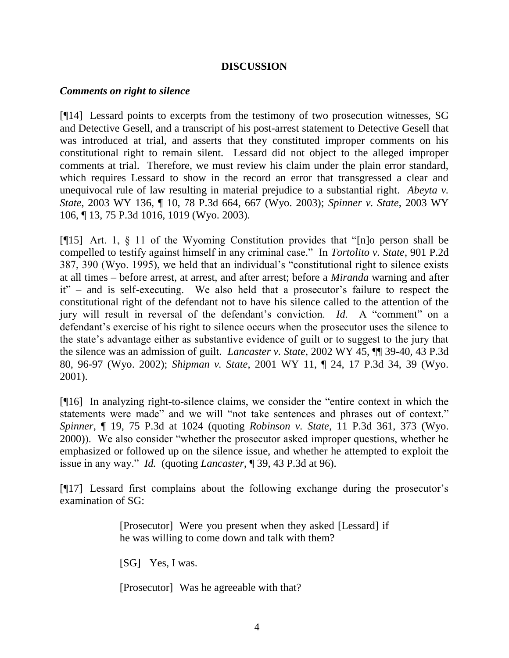### **DISCUSSION**

#### *Comments on right to silence*

[¶14] Lessard points to excerpts from the testimony of two prosecution witnesses, SG and Detective Gesell, and a transcript of his post-arrest statement to Detective Gesell that was introduced at trial, and asserts that they constituted improper comments on his constitutional right to remain silent. Lessard did not object to the alleged improper comments at trial. Therefore, we must review his claim under the plain error standard, which requires Lessard to show in the record an error that transgressed a clear and unequivocal rule of law resulting in material prejudice to a substantial right. *Abeyta v. State*, 2003 WY 136, ¶ 10, 78 P.3d 664, 667 (Wyo. 2003); *Spinner v. State*, 2003 WY 106, ¶ 13, 75 P.3d 1016, 1019 (Wyo. 2003).

[¶15] Art. 1, § 11 of the Wyoming Constitution provides that "[n]o person shall be compelled to testify against himself in any criminal case." In *Tortolito v. State*, 901 P.2d 387, 390 (Wyo. 1995), we held that an individual's "constitutional right to silence exists at all times – before arrest, at arrest, and after arrest; before a *Miranda* warning and after it" – and is self-executing. We also held that a prosecutor's failure to respect the constitutional right of the defendant not to have his silence called to the attention of the jury will result in reversal of the defendant's conviction. *Id*. A "comment" on a defendant's exercise of his right to silence occurs when the prosecutor uses the silence to the state's advantage either as substantive evidence of guilt or to suggest to the jury that the silence was an admission of guilt. *Lancaster v. State*, 2002 WY 45, ¶¶ 39-40, 43 P.3d 80, 96-97 (Wyo. 2002); *Shipman v. State*, 2001 WY 11, ¶ 24, 17 P.3d 34, 39 (Wyo. 2001).

[¶16] In analyzing right-to-silence claims, we consider the "entire context in which the statements were made" and we will "not take sentences and phrases out of context." *Spinner*, ¶ 19, 75 P.3d at 1024 (quoting *Robinson v. State*, 11 P.3d 361, 373 (Wyo. 2000)). We also consider "whether the prosecutor asked improper questions, whether he emphasized or followed up on the silence issue, and whether he attempted to exploit the issue in any way." *Id.* (quoting *Lancaster*, ¶ 39, 43 P.3d at 96).

[¶17] Lessard first complains about the following exchange during the prosecutor's examination of SG:

> [Prosecutor] Were you present when they asked [Lessard] if he was willing to come down and talk with them?

[SG] Yes, I was.

[Prosecutor] Was he agreeable with that?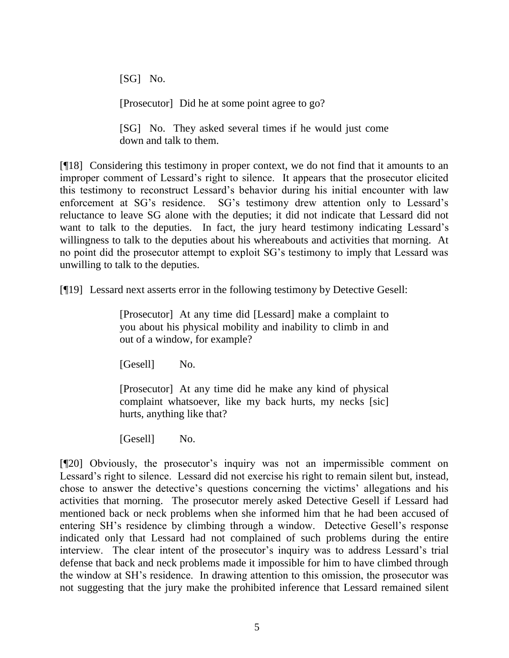[SG] No.

[Prosecutor] Did he at some point agree to go?

[SG] No. They asked several times if he would just come down and talk to them.

[¶18] Considering this testimony in proper context, we do not find that it amounts to an improper comment of Lessard's right to silence. It appears that the prosecutor elicited this testimony to reconstruct Lessard's behavior during his initial encounter with law enforcement at SG's residence. SG's testimony drew attention only to Lessard's reluctance to leave SG alone with the deputies; it did not indicate that Lessard did not want to talk to the deputies. In fact, the jury heard testimony indicating Lessard's willingness to talk to the deputies about his whereabouts and activities that morning. At no point did the prosecutor attempt to exploit SG's testimony to imply that Lessard was unwilling to talk to the deputies.

[¶19] Lessard next asserts error in the following testimony by Detective Gesell:

[Prosecutor] At any time did [Lessard] make a complaint to you about his physical mobility and inability to climb in and out of a window, for example?

[Gesell] No.

[Prosecutor] At any time did he make any kind of physical complaint whatsoever, like my back hurts, my necks [sic] hurts, anything like that?

[Gesell] No.

[¶20] Obviously, the prosecutor's inquiry was not an impermissible comment on Lessard's right to silence. Lessard did not exercise his right to remain silent but, instead, chose to answer the detective's questions concerning the victims' allegations and his activities that morning. The prosecutor merely asked Detective Gesell if Lessard had mentioned back or neck problems when she informed him that he had been accused of entering SH's residence by climbing through a window. Detective Gesell's response indicated only that Lessard had not complained of such problems during the entire interview. The clear intent of the prosecutor's inquiry was to address Lessard's trial defense that back and neck problems made it impossible for him to have climbed through the window at SH's residence. In drawing attention to this omission, the prosecutor was not suggesting that the jury make the prohibited inference that Lessard remained silent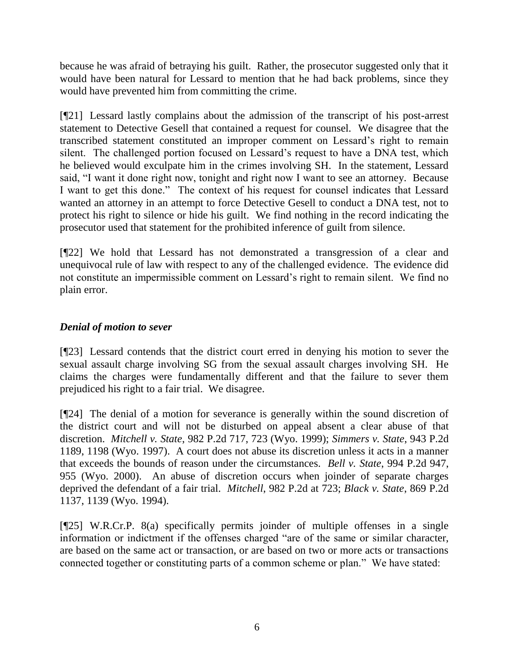because he was afraid of betraying his guilt. Rather, the prosecutor suggested only that it would have been natural for Lessard to mention that he had back problems, since they would have prevented him from committing the crime.

[¶21] Lessard lastly complains about the admission of the transcript of his post-arrest statement to Detective Gesell that contained a request for counsel. We disagree that the transcribed statement constituted an improper comment on Lessard's right to remain silent. The challenged portion focused on Lessard's request to have a DNA test, which he believed would exculpate him in the crimes involving SH. In the statement, Lessard said, "I want it done right now, tonight and right now I want to see an attorney. Because I want to get this done." The context of his request for counsel indicates that Lessard wanted an attorney in an attempt to force Detective Gesell to conduct a DNA test, not to protect his right to silence or hide his guilt. We find nothing in the record indicating the prosecutor used that statement for the prohibited inference of guilt from silence.

[¶22] We hold that Lessard has not demonstrated a transgression of a clear and unequivocal rule of law with respect to any of the challenged evidence. The evidence did not constitute an impermissible comment on Lessard's right to remain silent. We find no plain error.

# *Denial of motion to sever*

[¶23] Lessard contends that the district court erred in denying his motion to sever the sexual assault charge involving SG from the sexual assault charges involving SH. He claims the charges were fundamentally different and that the failure to sever them prejudiced his right to a fair trial. We disagree.

[¶24] The denial of a motion for severance is generally within the sound discretion of the district court and will not be disturbed on appeal absent a clear abuse of that discretion. *Mitchell v. State*, 982 P.2d 717, 723 (Wyo. 1999); *Simmers v. State*, 943 P.2d 1189, 1198 (Wyo. 1997). A court does not abuse its discretion unless it acts in a manner that exceeds the bounds of reason under the circumstances. *Bell v. State*, 994 P.2d 947, 955 (Wyo. 2000). An abuse of discretion occurs when joinder of separate charges deprived the defendant of a fair trial. *Mitchell*, 982 P.2d at 723; *Black v. State*, 869 P.2d 1137, 1139 (Wyo. 1994).

[¶25] W.R.Cr.P. 8(a) specifically permits joinder of multiple offenses in a single information or indictment if the offenses charged "are of the same or similar character, are based on the same act or transaction, or are based on two or more acts or transactions connected together or constituting parts of a common scheme or plan." We have stated: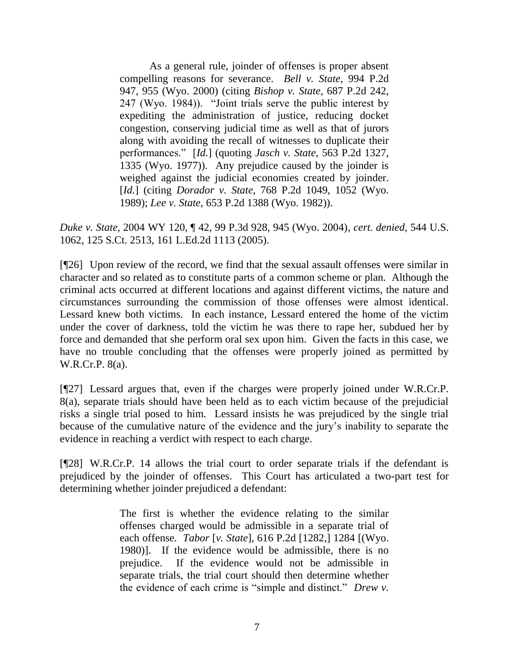As a general rule, joinder of offenses is proper absent compelling reasons for severance. *Bell v. State*, 994 P.2d 947, 955 (Wyo. 2000) (citing *Bishop v. State*, 687 P.2d 242, 247 (Wyo. 1984)). "Joint trials serve the public interest by expediting the administration of justice, reducing docket congestion, conserving judicial time as well as that of jurors along with avoiding the recall of witnesses to duplicate their performances." [*Id.*] (quoting *Jasch v. State*, 563 P.2d 1327, 1335 (Wyo. 1977)). Any prejudice caused by the joinder is weighed against the judicial economies created by joinder. [*Id.*] (citing *Dorador v. State*, 768 P.2d 1049, 1052 (Wyo. 1989); *Lee v. State*, 653 P.2d 1388 (Wyo. 1982)).

*Duke v. State*, 2004 WY 120, ¶ 42, 99 P.3d 928, 945 (Wyo. 2004), *cert. denied*, 544 U.S. 1062, 125 S.Ct. 2513, 161 L.Ed.2d 1113 (2005).

[¶26] Upon review of the record, we find that the sexual assault offenses were similar in character and so related as to constitute parts of a common scheme or plan. Although the criminal acts occurred at different locations and against different victims, the nature and circumstances surrounding the commission of those offenses were almost identical. Lessard knew both victims. In each instance, Lessard entered the home of the victim under the cover of darkness, told the victim he was there to rape her, subdued her by force and demanded that she perform oral sex upon him. Given the facts in this case, we have no trouble concluding that the offenses were properly joined as permitted by W.R.Cr.P. 8(a).

[¶27] Lessard argues that, even if the charges were properly joined under W.R.Cr.P. 8(a), separate trials should have been held as to each victim because of the prejudicial risks a single trial posed to him. Lessard insists he was prejudiced by the single trial because of the cumulative nature of the evidence and the jury's inability to separate the evidence in reaching a verdict with respect to each charge.

[¶28] W.R.Cr.P. 14 allows the trial court to order separate trials if the defendant is prejudiced by the joinder of offenses. This Court has articulated a two-part test for determining whether joinder prejudiced a defendant:

> The first is whether the evidence relating to the similar offenses charged would be admissible in a separate trial of each offense. *Tabor* [*v. State*], 616 P.2d [1282,] 1284 [(Wyo. 1980)]. If the evidence would be admissible, there is no prejudice. If the evidence would not be admissible in separate trials, the trial court should then determine whether the evidence of each crime is "simple and distinct." *Drew v.*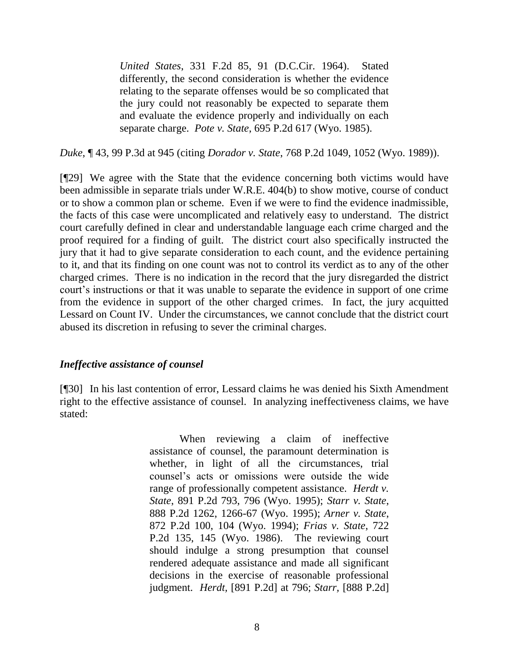*United States*, 331 F.2d 85, 91 (D.C.Cir. 1964). Stated differently, the second consideration is whether the evidence relating to the separate offenses would be so complicated that the jury could not reasonably be expected to separate them and evaluate the evidence properly and individually on each separate charge. *Pote v. State*, 695 P.2d 617 (Wyo. 1985).

*Duke*, ¶ 43, 99 P.3d at 945 (citing *Dorador v. State*, 768 P.2d 1049, 1052 (Wyo. 1989)).

[¶29] We agree with the State that the evidence concerning both victims would have been admissible in separate trials under W.R.E. 404(b) to show motive, course of conduct or to show a common plan or scheme. Even if we were to find the evidence inadmissible, the facts of this case were uncomplicated and relatively easy to understand. The district court carefully defined in clear and understandable language each crime charged and the proof required for a finding of guilt. The district court also specifically instructed the jury that it had to give separate consideration to each count, and the evidence pertaining to it, and that its finding on one count was not to control its verdict as to any of the other charged crimes. There is no indication in the record that the jury disregarded the district court's instructions or that it was unable to separate the evidence in support of one crime from the evidence in support of the other charged crimes. In fact, the jury acquitted Lessard on Count IV. Under the circumstances, we cannot conclude that the district court abused its discretion in refusing to sever the criminal charges.

### *Ineffective assistance of counsel*

[¶30] In his last contention of error, Lessard claims he was denied his Sixth Amendment right to the effective assistance of counsel. In analyzing ineffectiveness claims, we have stated:

> When reviewing a claim of ineffective assistance of counsel, the paramount determination is whether, in light of all the circumstances, trial counsel's acts or omissions were outside the wide range of professionally competent assistance. *Herdt v. State*, 891 P.2d 793, 796 (Wyo. 1995); *Starr v. State*, 888 P.2d 1262, 1266-67 (Wyo. 1995); *Arner v. State*, 872 P.2d 100, 104 (Wyo. 1994); *Frias v. State*, 722 P.2d 135, 145 (Wyo. 1986). The reviewing court should indulge a strong presumption that counsel rendered adequate assistance and made all significant decisions in the exercise of reasonable professional judgment. *Herdt,* [891 P.2d] at 796; *Starr,* [888 P.2d]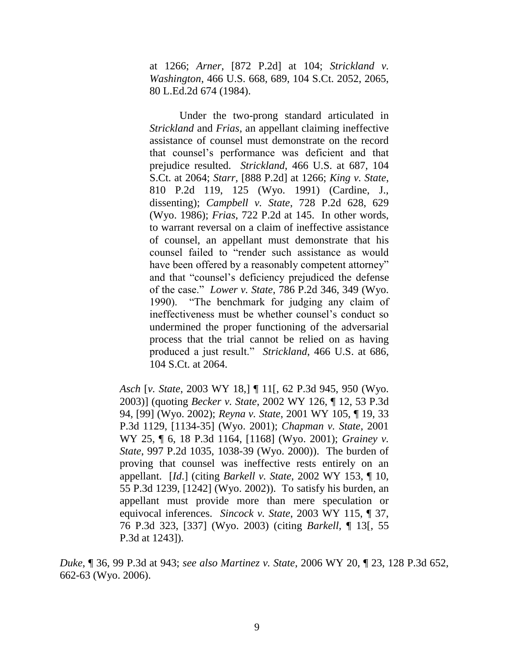at 1266; *Arner,* [872 P.2d] at 104; *Strickland v. Washington*, 466 U.S. 668, 689, 104 S.Ct. 2052, 2065, 80 L.Ed.2d 674 (1984).

Under the two-prong standard articulated in *Strickland* and *Frias,* an appellant claiming ineffective assistance of counsel must demonstrate on the record that counsel's performance was deficient and that prejudice resulted. *Strickland*, 466 U.S. at 687, 104 S.Ct. at 2064; *Starr,* [888 P.2d] at 1266; *King v. State*, 810 P.2d 119, 125 (Wyo. 1991) (Cardine, J., dissenting); *Campbell v. State*, 728 P.2d 628, 629 (Wyo. 1986); *Frias*, 722 P.2d at 145. In other words, to warrant reversal on a claim of ineffective assistance of counsel, an appellant must demonstrate that his counsel failed to "render such assistance as would have been offered by a reasonably competent attorney" and that "counsel's deficiency prejudiced the defense of the case." *Lower v. State*, 786 P.2d 346, 349 (Wyo. 1990). "The benchmark for judging any claim of ineffectiveness must be whether counsel's conduct so undermined the proper functioning of the adversarial process that the trial cannot be relied on as having produced a just result." *Strickland*, 466 U.S. at 686, 104 S.Ct. at 2064.

*Asch* [*v. State*, 2003 WY 18,] ¶ 11[, 62 P.3d 945, 950 (Wyo. 2003)] (quoting *Becker v. State*, 2002 WY 126, ¶ 12, 53 P.3d 94, [99] (Wyo. 2002); *Reyna v. State*, 2001 WY 105, ¶ 19, 33 P.3d 1129, [1134-35] (Wyo. 2001); *Chapman v. State*, 2001 WY 25, ¶ 6, 18 P.3d 1164, [1168] (Wyo. 2001); *Grainey v. State*, 997 P.2d 1035, 1038-39 (Wyo. 2000)). The burden of proving that counsel was ineffective rests entirely on an appellant. [*Id*.] (citing *Barkell v. State*, 2002 WY 153, ¶ 10, 55 P.3d 1239, [1242] (Wyo. 2002)). To satisfy his burden, an appellant must provide more than mere speculation or equivocal inferences. *Sincock v. State*, 2003 WY 115, ¶ 37, 76 P.3d 323, [337] (Wyo. 2003) (citing *Barkell,* ¶ 13[, 55 P.3d at 1243]).

*Duke*, ¶ 36, 99 P.3d at 943; *see also Martinez v. State*, 2006 WY 20, ¶ 23, 128 P.3d 652, 662-63 (Wyo. 2006).